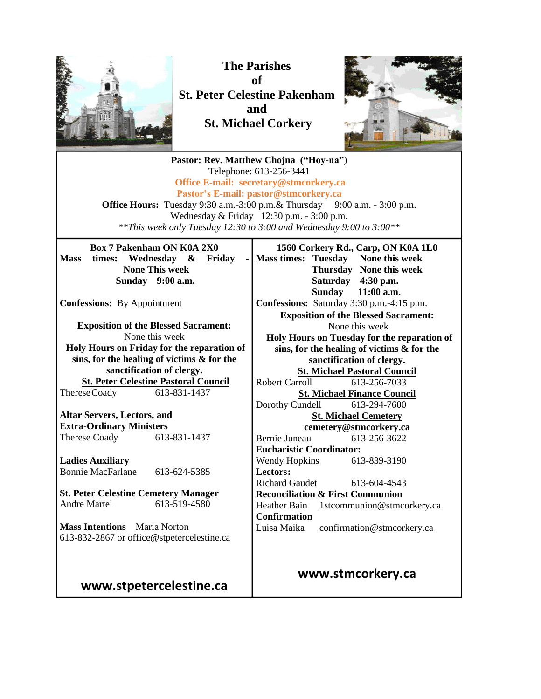

**The Parishes of St. Peter Celestine Pakenham and St. Michael Corkery**



**Pastor: Rev. Matthew Chojna ("Hoy-na"**) Telephone: 613-256-3441 **Office E-mail: secretary@stmcorkery.ca Pastor's E-mail: pastor@stmcorkery.ca Office Hours:** Tuesday 9:30 a.m.-3:00 p.m. & Thursday 9:00 a.m. - 3:00 p.m. Wednesday & Friday 12:30 p.m. - 3:00 p.m. *\*\*This week only Tuesday 12:30 to 3:00 and Wednesday 9:00 to 3:00\*\** **Box 7 Pakenham ON K0A 2X0 Mass times: Wednesday & Friday - None This week Sunday 9:00 a.m. Confessions:** By Appointment **Exposition of the Blessed Sacrament:**  None this week **Holy Hours on Friday for the reparation of sins, for the healing of victims & for the sanctification of clergy. St. Peter Celestine Pastoral Council** ThereseCoady 613-831-1437 **Altar Servers, Lectors, and Extra-Ordinary Ministers** Therese Coady 613-831-1437 **Ladies Auxiliary** Bonnie MacFarlane 613-624-5385 **St. Peter Celestine Cemetery Manager** Andre Martel 613-519-4580 **Mass Intentions** Maria Norton 613-832-2867 or [office@stpetercelestine.ca](mailto:office@stpetercelestine.ca) **www.stpetercelestine.ca 1560 Corkery Rd., Carp, ON K0A 1L0 Mass times: Tuesday None this week Thursday None this week Saturday 4:30 p.m. Sunday 11:00 a.m. Confessions:** Saturday 3:30 p.m.-4:15 p.m. **Exposition of the Blessed Sacrament:**  None this week **Holy Hours on Tuesday for the reparation of sins, for the healing of victims & for the sanctification of clergy. St. Michael Pastoral Council** Robert Carroll 613-256-7033 **St. Michael Finance Council** Dorothy Cundell 613-294-7600 **St. Michael Cemetery cemetery@stmcorkery.ca** Bernie Juneau 613-256-3622 **Eucharistic Coordinator:**  Wendy Hopkins 613-839-3190 **Lectors:**  Richard Gaudet [613-604-4543](tel:613-604-4543) **Reconciliation & First Communion**  Heather Bain 1stcommunion@stmcorkery.ca **Confirmation** Luisa Maika confirmation@stmcorkery.ca **www.stmcorkery.ca**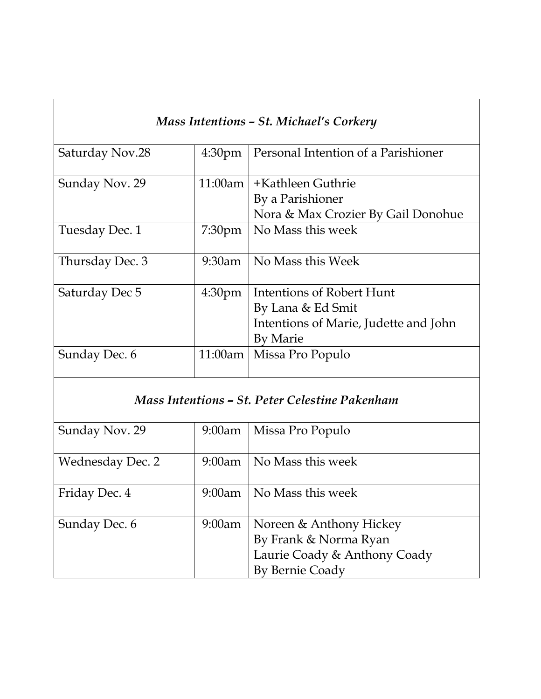| Mass Intentions – St. Michael's Corkery        |                    |                                       |
|------------------------------------------------|--------------------|---------------------------------------|
| Saturday Nov.28                                | 4:30 <sub>pm</sub> | Personal Intention of a Parishioner   |
| Sunday Nov. 29                                 |                    | 11:00am   +Kathleen Guthrie           |
|                                                |                    | By a Parishioner                      |
|                                                |                    | Nora & Max Crozier By Gail Donohue    |
| Tuesday Dec. 1                                 | 7:30 <sub>pm</sub> | No Mass this week                     |
| Thursday Dec. 3                                | 9:30am             | No Mass this Week                     |
| Saturday Dec 5                                 | 4:30 <sub>pm</sub> | Intentions of Robert Hunt             |
|                                                |                    | By Lana & Ed Smit                     |
|                                                |                    | Intentions of Marie, Judette and John |
|                                                |                    | <b>By Marie</b>                       |
| Sunday Dec. 6                                  | 11:00am            | Missa Pro Populo                      |
| Mass Intentions – St. Peter Celestine Pakenham |                    |                                       |
| Sunday Nov. 29                                 | 9:00am             | Missa Pro Populo                      |
| <b>Wednesday Dec. 2</b>                        | $9:00$ am          | No Mass this week                     |
| Friday Dec. 4                                  | $9:00$ am          | No Mass this week                     |
| Sunday Dec. 6                                  | $9:00$ am          | Noreen & Anthony Hickey               |

By Frank & Norma Ryan

By Bernie Coady

Laurie Coady & Anthony Coady